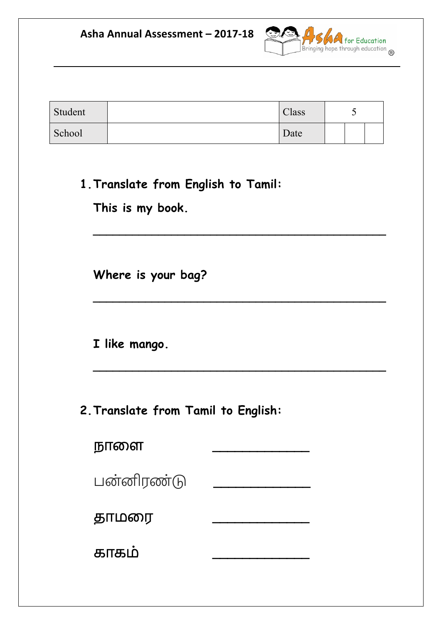Asha Annual Assessment - 2017-18



| Student | Class | ັ |  |
|---------|-------|---|--|
| School  | Date  |   |  |

**\_\_\_\_\_\_\_\_\_\_\_\_\_\_\_\_\_\_\_\_\_\_\_\_\_\_\_\_\_\_\_\_\_\_\_\_\_\_\_\_\_\_\_\_\_**

**\_\_\_\_\_\_\_\_\_\_\_\_\_\_\_\_\_\_\_\_\_\_\_\_\_\_\_\_\_\_\_\_\_\_\_\_\_\_\_\_\_\_\_\_\_**

**\_\_\_\_\_\_\_\_\_\_\_\_\_\_\_\_\_\_\_\_\_\_\_\_\_\_\_\_\_\_\_\_\_\_\_\_\_\_\_\_\_\_\_\_\_**

**1.Translate from English to Tamil:**

**This is my book.**

**Where is your bag?**

**I like mango.**

**2.Translate from Tamil to English:**

| நாளை       |  |
|------------|--|
| பன்னிரண்டு |  |
| தாமரை      |  |
| காகம்      |  |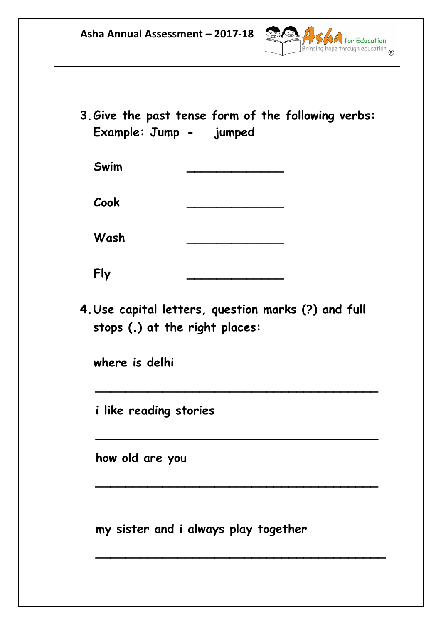

**3.Give the past tense form of the following verbs: Example: Jump - jumped**

| Swim |  |
|------|--|
| Cook |  |

**Wash \_\_\_\_\_\_\_\_\_\_\_\_\_**

**Fly \_\_\_\_\_\_\_\_\_\_\_\_\_**

**4.Use capital letters, question marks (?) and full stops (.) at the right places:**

 **\_\_\_\_\_\_\_\_\_\_\_\_\_\_\_\_\_\_\_\_\_\_\_\_\_\_\_\_\_\_\_\_\_\_\_\_\_\_**

 **\_\_\_\_\_\_\_\_\_\_\_\_\_\_\_\_\_\_\_\_\_\_\_\_\_\_\_\_\_\_\_\_\_\_\_\_\_\_**

**\_\_\_\_\_\_\_\_\_\_\_\_\_\_\_\_\_\_\_\_\_\_\_\_\_\_\_\_\_\_\_\_\_\_\_\_\_\_**

 **\_\_\_\_\_\_\_\_\_\_\_\_\_\_\_\_\_\_\_\_\_\_\_\_\_\_\_\_\_\_\_\_\_\_\_\_\_\_\_**

**where is delhi**

**i like reading stories**

 **how old are you**

**my sister and i always play together**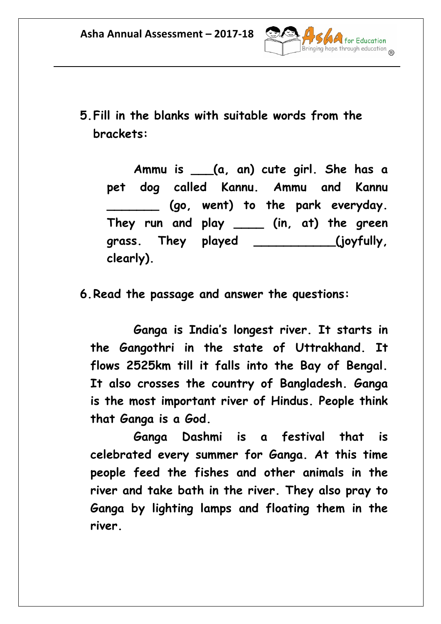

**5.Fill in the blanks with suitable words from the brackets:**

**Ammu is \_\_\_(a, an) cute girl. She has a pet dog called Kannu. Ammu and Kannu \_\_\_\_\_\_\_ (go, went) to the park everyday. They run and play \_\_\_\_ (in, at) the green grass. They played \_\_\_\_\_\_\_\_\_\_\_(joyfully, clearly).**

**6.Read the passage and answer the questions:**

**Ganga is India's longest river. It starts in the Gangothri in the state of Uttrakhand. It flows 2525km till it falls into the Bay of Bengal. It also crosses the country of Bangladesh. Ganga is the most important river of Hindus. People think that Ganga is a God.**

**Ganga Dashmi is a festival that is celebrated every summer for Ganga. At this time people feed the fishes and other animals in the river and take bath in the river. They also pray to Ganga by lighting lamps and floating them in the river.**